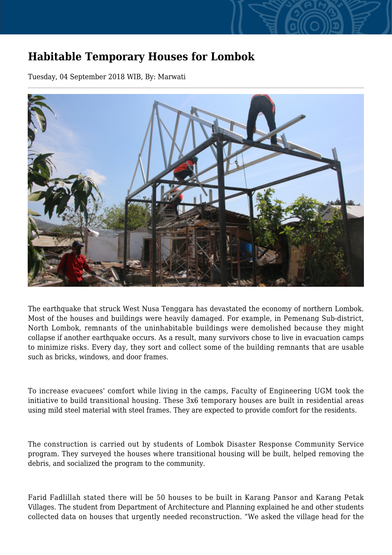## **Habitable Temporary Houses for Lombok**

Tuesday, 04 September 2018 WIB, By: Marwati



The earthquake that struck West Nusa Tenggara has devastated the economy of northern Lombok. Most of the houses and buildings were heavily damaged. For example, in Pemenang Sub-district, North Lombok, remnants of the uninhabitable buildings were demolished because they might collapse if another earthquake occurs. As a result, many survivors chose to live in evacuation camps to minimize risks. Every day, they sort and collect some of the building remnants that are usable such as bricks, windows, and door frames.

To increase evacuees' comfort while living in the camps, Faculty of Engineering UGM took the initiative to build transitional housing. These 3x6 temporary houses are built in residential areas using mild steel material with steel frames. They are expected to provide comfort for the residents.

The construction is carried out by students of Lombok Disaster Response Community Service program. They surveyed the houses where transitional housing will be built, helped removing the debris, and socialized the program to the community.

Farid Fadlillah stated there will be 50 houses to be built in Karang Pansor and Karang Petak Villages. The student from Department of Architecture and Planning explained he and other students collected data on houses that urgently needed reconstruction. "We asked the village head for the